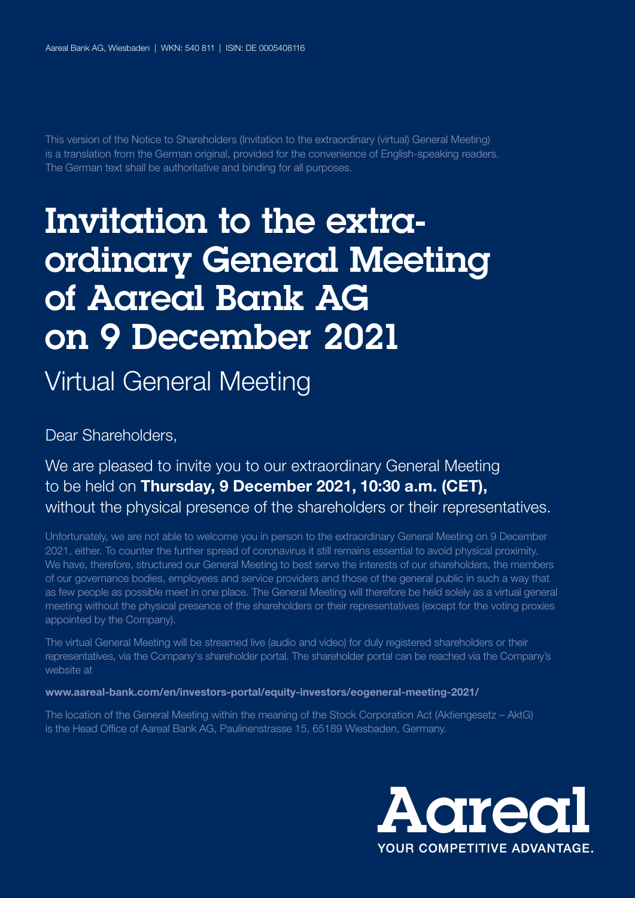This version of the Notice to Shareholders (Invitation to the extraordinary (virtual) General Meeting) is a translation from the German original, provided for the convenience of English-speaking readers. The German text shall be authoritative and binding for all purposes.

## Invitation to the extraordinary General Meeting of Aareal Bank AG on 9 December 2021

Virtual General Meeting

Dear Shareholders,

### We are pleased to invite you to our extraordinary General Meeting to be held on Thursday, 9 December 2021, 10:30 a.m. (CET), without the physical presence of the shareholders or their representatives.

Unfortunately, we are not able to welcome you in person to the extraordinary General Meeting on 9 December 2021, either. To counter the further spread of coronavirus it still remains essential to avoid physical proximity. We have, therefore, structured our General Meeting to best serve the interests of our shareholders, the members of our governance bodies, employees and service providers and those of the general public in such a way that as few people as possible meet in one place. The General Meeting will therefore be held solely as a virtual general meeting without the physical presence of the shareholders or their representatives (except for the voting proxies appointed by the Company).

The virtual General Meeting will be streamed live (audio and video) for duly registered shareholders or their representatives, via the Company's shareholder portal. The shareholder portal can be reached via the Company's website at

#### www.aareal-bank.com/en/investors-portal/equity-investors/eogeneral-meeting-2021/

The location of the General Meeting within the meaning of the Stock Corporation Act (Aktiengesetz – AktG) is the Head Office of Aareal Bank AG, Paulinenstrasse 15, 65189 Wiesbaden, Germany.

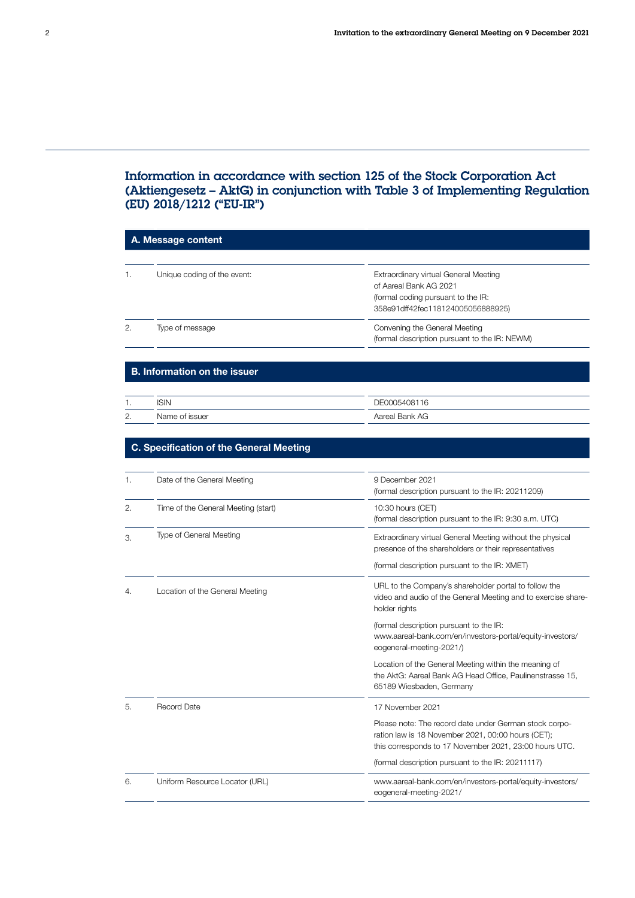#### Information in accordance with section 125 of the Stock Corporation Act (Aktiengesetz – AktG) in conjunction with Table 3 of Implementing Regulation (EU) 2018/1212 ("EU-IR")

| A. Message content |                                                |                                                                                                                                                                        |
|--------------------|------------------------------------------------|------------------------------------------------------------------------------------------------------------------------------------------------------------------------|
|                    |                                                |                                                                                                                                                                        |
| 1.                 | Unique coding of the event:                    | Extraordinary virtual General Meeting<br>of Aareal Bank AG 2021<br>(formal coding pursuant to the IR:<br>358e91dff42fec118124005056888925)                             |
| 2.                 | Type of message                                | Convening the General Meeting<br>(formal description pursuant to the IR: NEWM)                                                                                         |
|                    | <b>B. Information on the issuer</b>            |                                                                                                                                                                        |
|                    | <b>ISIN</b>                                    |                                                                                                                                                                        |
| 1.<br>2.           | Name of issuer                                 | DE0005408116<br>Aareal Bank AG                                                                                                                                         |
|                    |                                                |                                                                                                                                                                        |
|                    | <b>C. Specification of the General Meeting</b> |                                                                                                                                                                        |
|                    |                                                |                                                                                                                                                                        |
| 1.                 | Date of the General Meeting                    | 9 December 2021<br>(formal description pursuant to the IR: 20211209)                                                                                                   |
| 2.                 | Time of the General Meeting (start)            | 10:30 hours (CET)<br>(formal description pursuant to the IR: 9:30 a.m. UTC)                                                                                            |
| З.                 | Type of General Meeting                        | Extraordinary virtual General Meeting without the physical<br>presence of the shareholders or their representatives                                                    |
|                    |                                                | (formal description pursuant to the IR: XMET)                                                                                                                          |
| 4.                 | Location of the General Meeting                | URL to the Company's shareholder portal to follow the<br>video and audio of the General Meeting and to exercise share-<br>holder rights                                |
|                    |                                                | (formal description pursuant to the IR:<br>www.aareal-bank.com/en/investors-portal/equity-investors/<br>eogeneral-meeting-2021/)                                       |
|                    |                                                | Location of the General Meeting within the meaning of<br>the AktG: Aareal Bank AG Head Office, Paulinenstrasse 15,<br>65189 Wiesbaden, Germany                         |
|                    | Record Date                                    | 17 November 2021                                                                                                                                                       |
|                    |                                                | Please note: The record date under German stock corpo-<br>ration law is 18 November 2021, 00:00 hours (CET);<br>this corresponds to 17 November 2021, 23:00 hours UTC. |
|                    |                                                | (formal description pursuant to the IR: 20211117)                                                                                                                      |
| 6.                 | Uniform Resource Locator (URL)                 | www.aareal-bank.com/en/investors-portal/equity-investors/<br>eogeneral-meeting-2021/                                                                                   |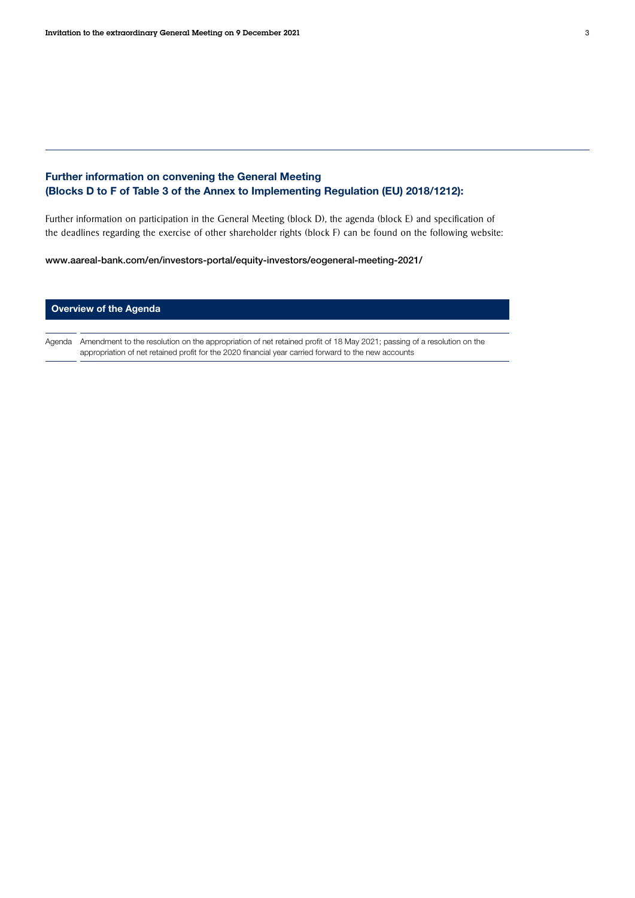# Further information on convening the General Meeting

#### (Blocks D to F of Table 3 of the Annex to Implementing Regulation (EU) 2018/1212):

Further information on participation in the General Meeting (block D), the agenda (block E) and specification of the deadlines regarding the exercise of other shareholder rights (block F) can be found on the following website:

[www.aareal-bank.com/en/investors-portal/equity-investors/eogeneral-meeting-2021/](https://www.aareal-bank.com/en/investors-portal/equity-investors/eogeneral-meeting-2021/)

#### Overview of the Agenda

Agenda Amendment to the resolution on the appropriation of net retained profit of 18 May 2021; passing of a resolution on the appropriation of net retained profit for the 2020 financial year carried forward to the new accounts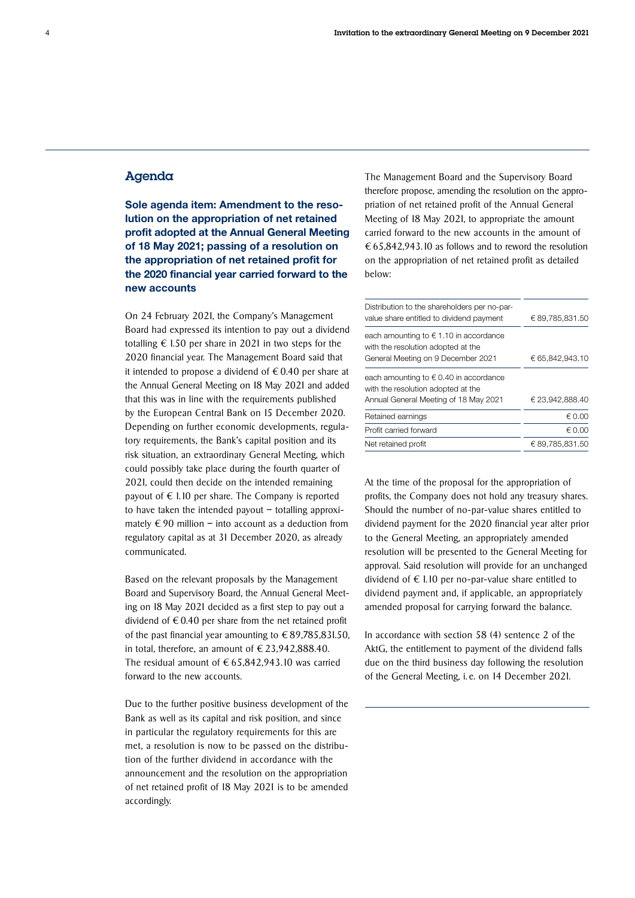#### Agenda

Sole agenda item: Amendment to the resolution on the appropriation of net retained profit adopted at the Annual General Meeting of 18 May 2021; passing of a resolution on the appropriation of net retained profit for the 2020 financial year carried forward to the new accounts

On 24 February 2021, the Company's Management Board had expressed its intention to pay out a dividend totalling  $\epsilon$  1.50 per share in 2021 in two steps for the 2020 financial year. The Management Board said that it intended to propose a dividend of  $\epsilon$  0.40 per share at the Annual General Meeting on 18 May 2021 and added that this was in line with the requirements published by the European Central Bank on 15 December 2020. Depending on further economic developments, regulatory requirements, the Bank's capital position and its risk situation, an extraordinary General Meeting, which could possibly take place during the fourth quarter of 2021, could then decide on the intended remaining payout of  $\epsilon$  1.10 per share. The Company is reported to have taken the intended payout – totalling approximately  $\epsilon$  90 million – into account as a deduction from regulatory capital as at 31 December 2020, as already communicated.

Based on the relevant proposals by the Management Board and Supervisory Board, the Annual General Meeting on 18 May 2021 decided as a first step to pay out a dividend of  $\epsilon$  0.40 per share from the net retained profit of the past financial year amounting to  $\epsilon$  89,785,831.50, in total, therefore, an amount of  $\epsilon$  23,942,888.40. The residual amount of  $\epsilon$  65,842,943.10 was carried forward to the new accounts.

Due to the further positive business development of the Bank as well as its capital and risk position, and since in particular the regulatory requirements for this are met, a resolution is now to be passed on the distribution of the further dividend in accordance with the announcement and the resolution on the appropriation of net retained profit of 18 May 2021 is to be amended accordingly.

The Management Board and the Supervisory Board therefore propose, amending the resolution on the appropriation of net retained profit of the Annual General Meeting of 18 May 2021, to appropriate the amount carried forward to the new accounts in the amount of  $\epsilon$  65,842,943.10 as follows and to reword the resolution on the appropriation of net retained profit as detailed below:

| Distribution to the shareholders per no-par-<br>value share entitled to dividend payment | € 89,785,831.50 |  |
|------------------------------------------------------------------------------------------|-----------------|--|
| each amounting to $\epsilon$ 1.10 in accordance<br>with the resolution adopted at the    |                 |  |
| General Meeting on 9 December 2021                                                       | € 65,842,943.10 |  |
| each amounting to $\epsilon$ 0.40 in accordance<br>with the resolution adopted at the    |                 |  |
| Annual General Meeting of 18 May 2021                                                    | € 23.942.888.40 |  |
| Retained earnings                                                                        | $\notin$ 0.00   |  |
| Profit carried forward                                                                   | $∈$ 0.00        |  |
| Net retained profit                                                                      | € 89.785.831.50 |  |

At the time of the proposal for the appropriation of profits, the Company does not hold any treasury shares. Should the number of no-par-value shares entitled to dividend payment for the 2020 financial year alter prior to the General Meeting, an appropriately amended resolution will be presented to the General Meeting for approval. Said resolution will provide for an unchanged dividend of  $€ 1.10$  per no-par-value share entitled to dividend payment and, if applicable, an appropriately amended proposal for carrying forward the balance.

In accordance with section 58 (4) sentence 2 of the AktG, the entitlement to payment of the dividend falls due on the third business day following the resolution of the General Meeting, i. e. on 14 December 2021.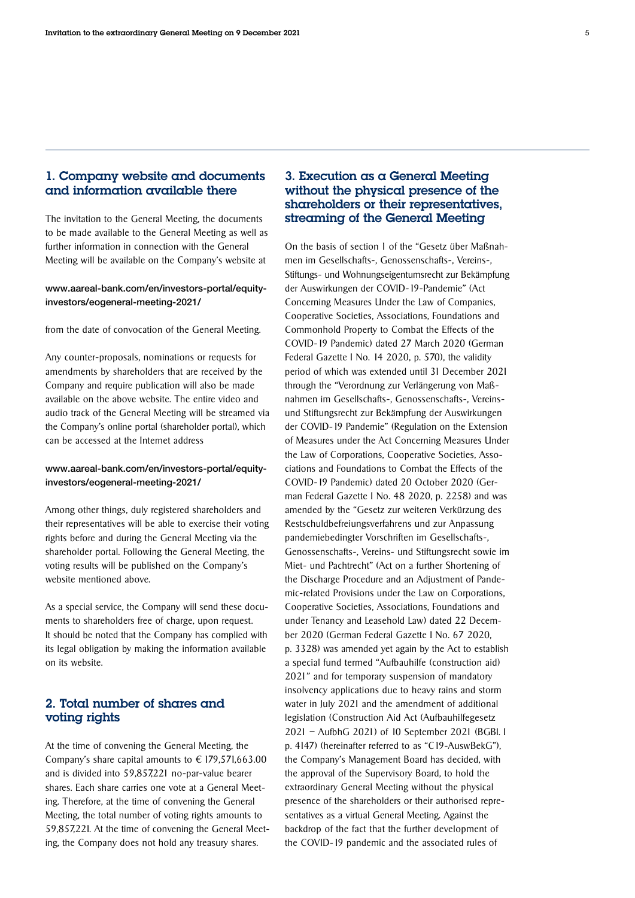#### 1. Company website and documents and information available there

The invitation to the General Meeting, the documents to be made available to the General Meeting as well as further information in connection with the General Meeting will be available on the Company's website at

#### [www.aareal-bank.com/en/investors-portal/equity](https://www.aareal-bank.com/en/investors-portal/equity-investors/eogeneral-meeting-2021/)[investors/eogeneral-meeting-2021/](https://www.aareal-bank.com/en/investors-portal/equity-investors/eogeneral-meeting-2021/)

from the date of convocation of the General Meeting.

Any counter-proposals, nominations or requests for amendments by shareholders that are received by the Company and require publication will also be made available on the above website. The entire video and audio track of the General Meeting will be streamed via the Company's online portal (shareholder portal), which can be accessed at the Internet address

#### [www.aareal-bank.com/en/investors-portal/equity](https://www.aareal-bank.com/en/investors-portal/equity-investors/eogeneral-meeting-2021/)[investors/eogeneral-meeting-2021/](https://www.aareal-bank.com/en/investors-portal/equity-investors/eogeneral-meeting-2021/)

Among other things, duly registered shareholders and their representatives will be able to exercise their voting rights before and during the General Meeting via the shareholder portal. Following the General Meeting, the voting results will be published on the Company's website mentioned above.

As a special service, the Company will send these documents to shareholders free of charge, upon request. It should be noted that the Company has complied with its legal obligation by making the information available on its website.

#### 2. Total number of shares and voting rights

At the time of convening the General Meeting, the Company's share capital amounts to  $\in$  179,571,663.00 and is divided into 59,857,221 no-par-value bearer shares. Each share carries one vote at a General Meeting. Therefore, at the time of convening the General Meeting, the total number of voting rights amounts to 59,857,221. At the time of convening the General Meeting, the Company does not hold any treasury shares.

#### 3. Execution as a General Meeting without the physical presence of the shareholders or their representatives, streaming of the General Meeting

On the basis of section 1 of the "Gesetz über Maßnahmen im Gesellschafts-, Genossenschafts-, Vereins-, Stiftungs- und Wohnungseigentumsrecht zur Bekämpfung der Auswirkungen der COVID-19-Pandemie" (Act Concerning Measures Under the Law of Companies, Cooperative Societies, Associations, Foundations and Commonhold Property to Combat the Effects of the COVID-19 Pandemic) dated 27 March 2020 (German Federal Gazette I No. 14 2020, p. 570), the validity period of which was extended until 31 December 2021 through the "Verordnung zur Verlängerung von Maßnahmen im Gesellschafts-, Genossenschafts-, Vereinsund Stiftungsrecht zur Bekämpfung der Auswirkungen der COVID-19 Pandemie" (Regulation on the Extension of Measures under the Act Concerning Measures Under the Law of Corporations, Cooperative Societies, Associations and Foundations to Combat the Effects of the COVID-19 Pandemic) dated 20 October 2020 (German Federal Gazette I No. 48 2020, p. 2258) and was amended by the "Gesetz zur weiteren Verkürzung des Restschuldbefreiungsverfahrens und zur Anpassung pandemiebedingter Vorschriften im Gesellschafts-, Genossenschafts-, Vereins- und Stiftungsrecht sowie im Miet- und Pachtrecht" (Act on a further Shortening of the Discharge Procedure and an Adjustment of Pandemic-related Provisions under the Law on Corporations, Cooperative Societies, Associations, Foundations and under Tenancy and Leasehold Law) dated 22 December 2020 (German Federal Gazette I No. 67 2020, p. 3328) was amended yet again by the Act to establish a special fund termed "Aufbauhilfe (construction aid) 2021" and for temporary suspension of mandatory insolvency applications due to heavy rains and storm water in July 2021 and the amendment of additional legislation (Construction Aid Act (Aufbauhilfegesetz 2021 – AufbhG 2021) of 10 September 2021 (BGBl. I p. 4147) (hereinafter referred to as "C19-AuswBekG"), the Company's Management Board has decided, with the approval of the Supervisory Board, to hold the extraordinary General Meeting without the physical presence of the shareholders or their authorised representatives as a virtual General Meeting. Against the backdrop of the fact that the further development of the COVID-19 pandemic and the associated rules of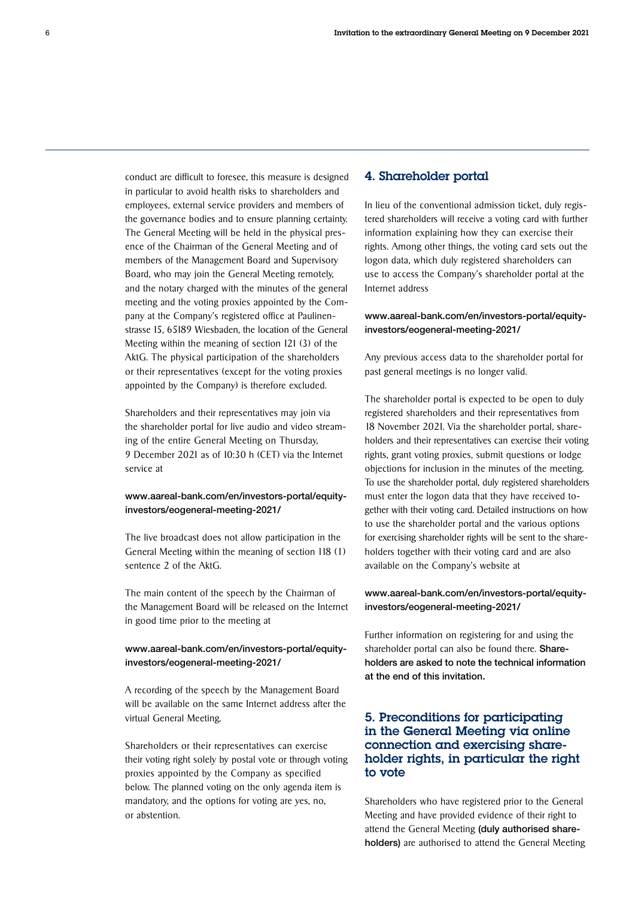conduct are difficult to foresee, this measure is designed in particular to avoid health risks to shareholders and employees, external service providers and members of the governance bodies and to ensure planning certainty. The General Meeting will be held in the physical presence of the Chairman of the General Meeting and of members of the Management Board and Supervisory Board, who may join the General Meeting remotely, and the notary charged with the minutes of the general meeting and the voting proxies appointed by the Company at the Company's registered office at Paulinenstrasse 15, 65189 Wiesbaden, the location of the General Meeting within the meaning of section 121 (3) of the AktG. The physical participation of the shareholders or their representatives (except for the voting proxies appointed by the Company) is therefore excluded.

Shareholders and their representatives may join via the shareholder portal for live audio and video streaming of the entire General Meeting on Thursday, 9 December 2021 as of 10:30 h (CET) via the Internet service at

#### [www.aareal-bank.com/en/investors-portal/equity](https://www.aareal-bank.com/en/investors-portal/equity-investors/eogeneral-meeting-2021/)[investors/eogeneral-meeting-2021/](https://www.aareal-bank.com/en/investors-portal/equity-investors/eogeneral-meeting-2021/)

The live broadcast does not allow participation in the General Meeting within the meaning of section 118 (1) sentence 2 of the AktG.

The main content of the speech by the Chairman of the Management Board will be released on the Internet in good time prior to the meeting at

#### [www.aareal-bank.com/en/investors-portal/equity](https://www.aareal-bank.com/en/investors-portal/equity-investors/eogeneral-meeting-2021/)[investors/eogeneral-meeting-2021/](https://www.aareal-bank.com/en/investors-portal/equity-investors/eogeneral-meeting-2021/)

A recording of the speech by the Management Board will be available on the same Internet address after the virtual General Meeting.

Shareholders or their representatives can exercise their voting right solely by postal vote or through voting proxies appointed by the Company as specified below. The planned voting on the only agenda item is mandatory, and the options for voting are yes, no, or abstention.

#### 4. Shareholder portal

In lieu of the conventional admission ticket, duly registered shareholders will receive a voting card with further information explaining how they can exercise their rights. Among other things, the voting card sets out the logon data, which duly registered shareholders can use to access the Company's shareholder portal at the Internet address

#### [www.aareal-bank.com/en/investors-portal/equity](https://www.aareal-bank.com/en/investors-portal/equity-investors/eogeneral-meeting-2021/)[investors/eogeneral-meeting-2021/](https://www.aareal-bank.com/en/investors-portal/equity-investors/eogeneral-meeting-2021/)

Any previous access data to the shareholder portal for past general meetings is no longer valid.

The shareholder portal is expected to be open to duly registered shareholders and their representatives from 18 November 2021. Via the shareholder portal, shareholders and their representatives can exercise their voting rights, grant voting proxies, submit questions or lodge objections for inclusion in the minutes of the meeting. To use the shareholder portal, duly registered shareholders must enter the logon data that they have received together with their voting card. Detailed instructions on how to use the shareholder portal and the various options for exercising shareholder rights will be sent to the shareholders together with their voting card and are also available on the Company's website at

#### [www.aareal-bank.com/en/investors-portal/equity](https://www.aareal-bank.com/en/investors-portal/equity-investors/eogeneral-meeting-2021/)[investors/eogeneral-meeting-2021/](https://www.aareal-bank.com/en/investors-portal/equity-investors/eogeneral-meeting-2021/)

Further information on registering for and using the shareholder portal can also be found there. Shareholders are asked to note the technical information at the end of this invitation.

#### 5. Preconditions for participating in the General Meeting via online connection and exercising shareholder rights, in particular the right to vote

Shareholders who have registered prior to the General Meeting and have provided evidence of their right to attend the General Meeting (duly authorised shareholders) are authorised to attend the General Meeting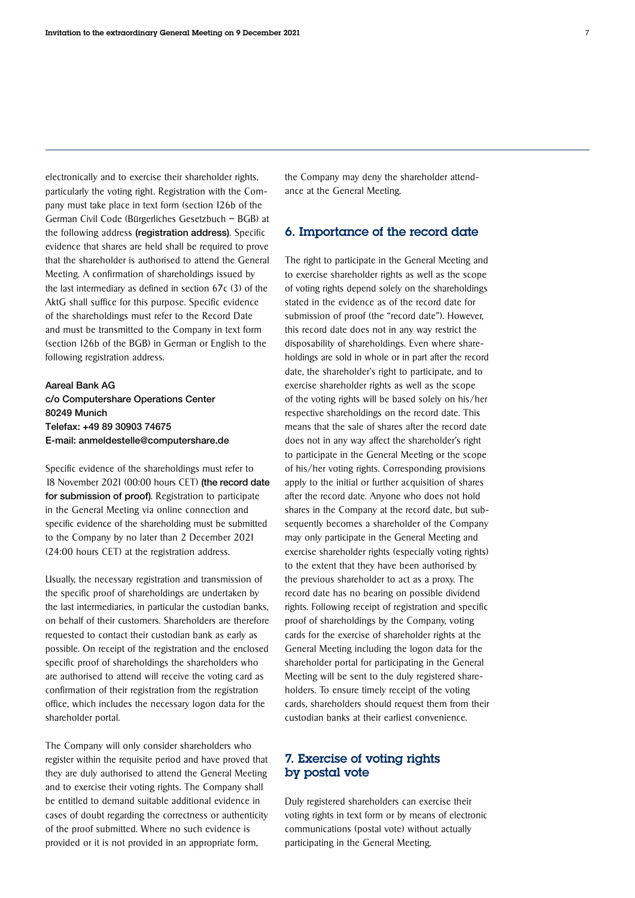electronically and to exercise their shareholder rights, particularly the voting right. Registration with the Company must take place in text form (section 126b of the German Civil Code (Bürgerliches Gesetzbuch – BGB) at the following address (registration address). Specific evidence that shares are held shall be required to prove that the shareholder is authorised to attend the General Meeting. A confirmation of shareholdings issued by the last intermediary as defined in section 67c (3) of the AktG shall suffice for this purpose. Specific evidence of the shareholdings must refer to the Record Date and must be transmitted to the Company in text form (section 126b of the BGB) in German or English to the following registration address.

Aareal Bank AG c/o Computershare Operations Center 80249 Munich Telefax: +49 89 30903 74675 E-mail: anmeldestelle@computershare.de

Specific evidence of the shareholdings must refer to 18 November 2021 (00:00 hours CET) (the record date for submission of proof). Registration to participate in the General Meeting via online connection and specific evidence of the shareholding must be submitted to the Company by no later than 2 December 2021 (24:00 hours CET) at the registration address.

Usually, the necessary registration and transmission of the specific proof of shareholdings are undertaken by the last intermediaries, in particular the custodian banks, on behalf of their customers. Shareholders are therefore requested to contact their custodian bank as early as possible. On receipt of the registration and the enclosed specific proof of shareholdings the shareholders who are authorised to attend will receive the voting card as confirmation of their registration from the registration office, which includes the necessary logon data for the shareholder portal.

The Company will only consider shareholders who register within the requisite period and have proved that they are duly authorised to attend the General Meeting and to exercise their voting rights. The Company shall be entitled to demand suitable additional evidence in cases of doubt regarding the correctness or authenticity of the proof submitted. Where no such evidence is provided or it is not provided in an appropriate form,

the Company may deny the shareholder attendance at the General Meeting.

#### 6. Importance of the record date

The right to participate in the General Meeting and to exercise shareholder rights as well as the scope of voting rights depend solely on the shareholdings stated in the evidence as of the record date for submission of proof (the "record date"). However, this record date does not in any way restrict the disposability of shareholdings. Even where shareholdings are sold in whole or in part after the record date, the shareholder's right to participate, and to exercise shareholder rights as well as the scope of the voting rights will be based solely on his/her respective shareholdings on the record date. This means that the sale of shares after the record date does not in any way affect the shareholder's right to participate in the General Meeting or the scope of his/her voting rights. Corresponding provisions apply to the initial or further acquisition of shares after the record date. Anyone who does not hold shares in the Company at the record date, but subsequently becomes a shareholder of the Company may only participate in the General Meeting and exercise shareholder rights (especially voting rights) to the extent that they have been authorised by the previous shareholder to act as a proxy. The record date has no bearing on possible dividend rights. Following receipt of registration and specific proof of shareholdings by the Company, voting cards for the exercise of shareholder rights at the General Meeting including the logon data for the shareholder portal for participating in the General Meeting will be sent to the duly registered shareholders. To ensure timely receipt of the voting cards, shareholders should request them from their custodian banks at their earliest convenience.

#### 7. Exercise of voting rights by postal vote

Duly registered shareholders can exercise their voting rights in text form or by means of electronic communications (postal vote) without actually participating in the General Meeting.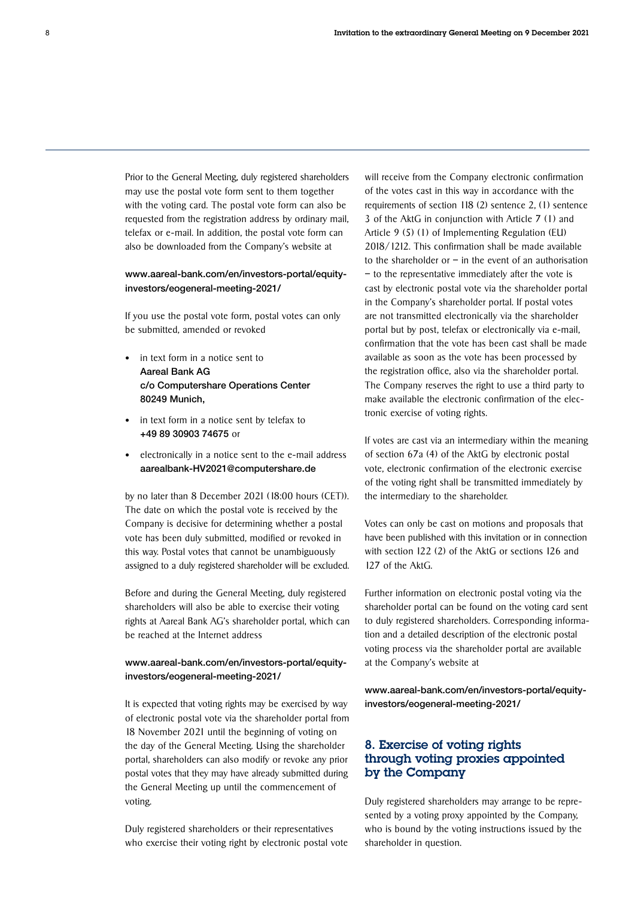Prior to the General Meeting, duly registered shareholders may use the postal vote form sent to them together with the voting card. The postal vote form can also be requested from the registration address by ordinary mail, telefax or e-mail. In addition, the postal vote form can also be downloaded from the Company's website at

#### [www.aareal-bank.com/en/investors-portal/equity](https://www.aareal-bank.com/en/investors-portal/equity-investors/eogeneral-meeting-2021/)[investors/eogeneral-meeting-2021/](https://www.aareal-bank.com/en/investors-portal/equity-investors/eogeneral-meeting-2021/)

If you use the postal vote form, postal votes can only be submitted, amended or revoked

- in text form in a notice sent to Aareal Bank AG c/o Computershare Operations Center 80249 Munich,
- in text form in a notice sent by telefax to +49 89 30903 74675 or
- electronically in a notice sent to the e-mail address aarealbank-HV2021@computershare.de

by no later than 8 December 2021 (18:00 hours (CET)). The date on which the postal vote is received by the Company is decisive for determining whether a postal vote has been duly submitted, modified or revoked in this way. Postal votes that cannot be unambiguously assigned to a duly registered shareholder will be excluded.

Before and during the General Meeting, duly registered shareholders will also be able to exercise their voting rights at Aareal Bank AG's shareholder portal, which can be reached at the Internet address

#### [www.aareal-bank.com/en/investors-portal/equity](https://www.aareal-bank.com/en/investors-portal/equity-investors/eogeneral-meeting-2021/)[investors/eogeneral-meeting-2021/](https://www.aareal-bank.com/en/investors-portal/equity-investors/eogeneral-meeting-2021/)

It is expected that voting rights may be exercised by way of electronic postal vote via the shareholder portal from 18 November 2021 until the beginning of voting on the day of the General Meeting. Using the shareholder portal, shareholders can also modify or revoke any prior postal votes that they may have already submitted during the General Meeting up until the commencement of voting.

Duly registered shareholders or their representatives who exercise their voting right by electronic postal vote will receive from the Company electronic confirmation of the votes cast in this way in accordance with the requirements of section 118 (2) sentence 2, (1) sentence 3 of the AktG in conjunction with Article 7 (1) and Article 9 (5) (1) of Implementing Regulation (EU) 2018/1212. This confirmation shall be made available to the shareholder or  $-$  in the event of an authorisation – to the representative immediately after the vote is cast by electronic postal vote via the shareholder portal in the Company's shareholder portal. If postal votes are not transmitted electronically via the shareholder portal but by post, telefax or electronically via e-mail, confirmation that the vote has been cast shall be made available as soon as the vote has been processed by the registration office, also via the shareholder portal. The Company reserves the right to use a third party to make available the electronic confirmation of the electronic exercise of voting rights.

If votes are cast via an intermediary within the meaning of section 67a (4) of the AktG by electronic postal vote, electronic confirmation of the electronic exercise of the voting right shall be transmitted immediately by the intermediary to the shareholder.

Votes can only be cast on motions and proposals that have been published with this invitation or in connection with section 122 (2) of the AktG or sections 126 and 127 of the AktG.

Further information on electronic postal voting via the shareholder portal can be found on the voting card sent to duly registered shareholders. Corresponding information and a detailed description of the electronic postal voting process via the shareholder portal are available at the Company's website at

[www.aareal-bank.com/en/investors-portal/equity](https://www.aareal-bank.com/en/investors-portal/equity-investors/eogeneral-meeting-2021/)[investors/eogeneral-meeting-2021/](https://www.aareal-bank.com/en/investors-portal/equity-investors/eogeneral-meeting-2021/)

#### 8. Exercise of voting rights through voting proxies appointed by the Company

Duly registered shareholders may arrange to be represented by a voting proxy appointed by the Company, who is bound by the voting instructions issued by the shareholder in question.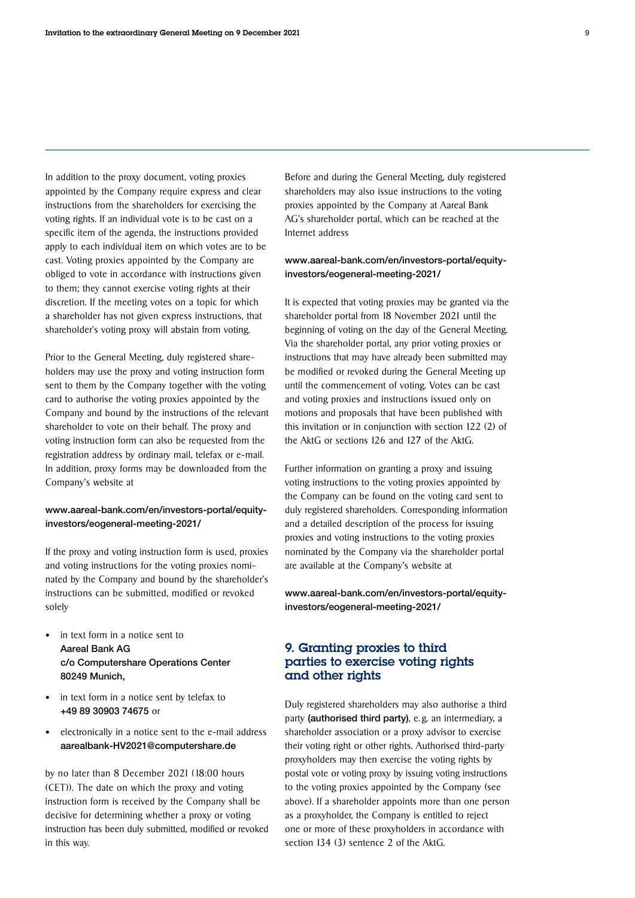In addition to the proxy document, voting proxies appointed by the Company require express and clear instructions from the shareholders for exercising the voting rights. If an individual vote is to be cast on a specific item of the agenda, the instructions provided apply to each individual item on which votes are to be cast. Voting proxies appointed by the Company are obliged to vote in accordance with instructions given to them; they cannot exercise voting rights at their discretion. If the meeting votes on a topic for which a shareholder has not given express instructions, that shareholder's voting proxy will abstain from voting.

Prior to the General Meeting, duly registered shareholders may use the proxy and voting instruction form sent to them by the Company together with the voting card to authorise the voting proxies appointed by the Company and bound by the instructions of the relevant shareholder to vote on their behalf. The proxy and voting instruction form can also be requested from the registration address by ordinary mail, telefax or e-mail. In addition, proxy forms may be downloaded from the Company's website at

#### [www.aareal-bank.com/en/investors-portal/equity](https://www.aareal-bank.com/en/investors-portal/equity-investors/eogeneral-meeting-2021/)[investors/eogeneral-meeting-2021/](https://www.aareal-bank.com/en/investors-portal/equity-investors/eogeneral-meeting-2021/)

If the proxy and voting instruction form is used, proxies and voting instructions for the voting proxies nominated by the Company and bound by the shareholder's instructions can be submitted, modified or revoked solely

- in text form in a notice sent to Aareal Bank AG c/o Computershare Operations Center 80249 Munich,
- in text form in a notice sent by telefax to +49 89 30903 74675 or
- electronically in a notice sent to the e-mail address aarealbank-HV2021@computershare.de

by no later than 8 December 2021 (18:00 hours (CET)). The date on which the proxy and voting instruction form is received by the Company shall be decisive for determining whether a proxy or voting instruction has been duly submitted, modified or revoked in this way.

Before and during the General Meeting, duly registered shareholders may also issue instructions to the voting proxies appointed by the Company at Aareal Bank AG's shareholder portal, which can be reached at the Internet address

#### [www.aareal-bank.com/en/investors-portal/equity](https://www.aareal-bank.com/en/investors-portal/equity-investors/eogeneral-meeting-2021/)[investors/eogeneral-meeting-2021/](https://www.aareal-bank.com/en/investors-portal/equity-investors/eogeneral-meeting-2021/)

It is expected that voting proxies may be granted via the shareholder portal from 18 November 2021 until the beginning of voting on the day of the General Meeting. Via the shareholder portal, any prior voting proxies or instructions that may have already been submitted may be modified or revoked during the General Meeting up until the commencement of voting. Votes can be cast and voting proxies and instructions issued only on motions and proposals that have been published with this invitation or in conjunction with section 122 (2) of the AktG or sections 126 and 127 of the AktG.

Further information on granting a proxy and issuing voting instructions to the voting proxies appointed by the Company can be found on the voting card sent to duly registered shareholders. Corresponding information and a detailed description of the process for issuing proxies and voting instructions to the voting proxies nominated by the Company via the shareholder portal are available at the Company's website at

[www.aareal-bank.com/en/investors-portal/equity](https://www.aareal-bank.com/en/investors-portal/equity-investors/eogeneral-meeting-2021/)[investors/eogeneral-meeting-2021/](https://www.aareal-bank.com/en/investors-portal/equity-investors/eogeneral-meeting-2021/)

#### 9. Granting proxies to third parties to exercise voting rights and other rights

Duly registered shareholders may also authorise a third party (authorised third party), e.g. an intermediary, a shareholder association or a proxy advisor to exercise their voting right or other rights. Authorised third-party proxyholders may then exercise the voting rights by postal vote or voting proxy by issuing voting instructions to the voting proxies appointed by the Company (see above). If a shareholder appoints more than one person as a proxyholder, the Company is entitled to reject one or more of these proxyholders in accordance with section 134 (3) sentence 2 of the AktG.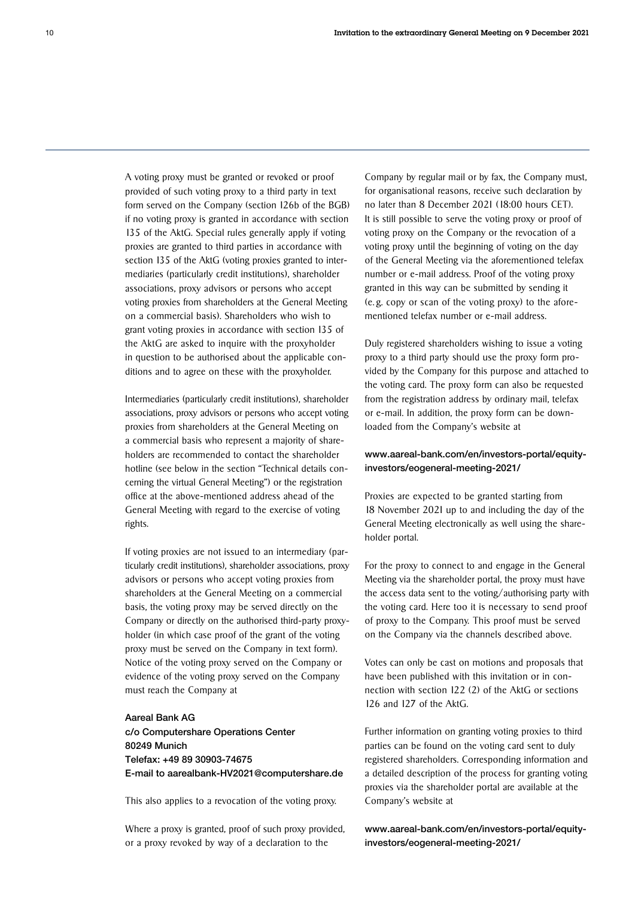A voting proxy must be granted or revoked or proof provided of such voting proxy to a third party in text form served on the Company (section 126b of the BGB) if no voting proxy is granted in accordance with section 135 of the AktG. Special rules generally apply if voting proxies are granted to third parties in accordance with section 135 of the AktG (voting proxies granted to intermediaries (particularly credit institutions), shareholder associations, proxy advisors or persons who accept voting proxies from shareholders at the General Meeting on a commercial basis). Shareholders who wish to grant voting proxies in accordance with section 135 of the AktG are asked to inquire with the proxyholder in question to be authorised about the applicable conditions and to agree on these with the proxyholder.

Intermediaries (particularly credit institutions), shareholder associations, proxy advisors or persons who accept voting proxies from shareholders at the General Meeting on a commercial basis who represent a majority of shareholders are recommended to contact the shareholder hotline (see below in the section "Technical details concerning the virtual General Meeting") or the registration office at the above-mentioned address ahead of the General Meeting with regard to the exercise of voting rights.

If voting proxies are not issued to an intermediary (particularly credit institutions), shareholder associations, proxy advisors or persons who accept voting proxies from shareholders at the General Meeting on a commercial basis, the voting proxy may be served directly on the Company or directly on the authorised third-party proxyholder (in which case proof of the grant of the voting proxy must be served on the Company in text form). Notice of the voting proxy served on the Company or evidence of the voting proxy served on the Company must reach the Company at

#### Aareal Bank AG

c/o Computershare Operations Center 80249 Munich Telefax: +49 89 30903-74675 E-mail to aarealbank-HV2021@computershare.de

This also applies to a revocation of the voting proxy.

Where a proxy is granted, proof of such proxy provided, or a proxy revoked by way of a declaration to the

Company by regular mail or by fax, the Company must, for organisational reasons, receive such declaration by no later than 8 December 2021 (18:00 hours CET). It is still possible to serve the voting proxy or proof of voting proxy on the Company or the revocation of a voting proxy until the beginning of voting on the day of the General Meeting via the aforementioned telefax number or e-mail address. Proof of the voting proxy granted in this way can be submitted by sending it (e. g. copy or scan of the voting proxy) to the aforementioned telefax number or e-mail address.

Duly registered shareholders wishing to issue a voting proxy to a third party should use the proxy form provided by the Company for this purpose and attached to the voting card. The proxy form can also be requested from the registration address by ordinary mail, telefax or e-mail. In addition, the proxy form can be downloaded from the Company's website at

#### [www.aareal-bank.com/en/investors-portal/equity](https://www.aareal-bank.com/en/investors-portal/equity-investors/eogeneral-meeting-2021/)[investors/eogeneral-meeting-2021/](https://www.aareal-bank.com/en/investors-portal/equity-investors/eogeneral-meeting-2021/)

Proxies are expected to be granted starting from 18 November 2021 up to and including the day of the General Meeting electronically as well using the shareholder portal.

For the proxy to connect to and engage in the General Meeting via the shareholder portal, the proxy must have the access data sent to the voting/authorising party with the voting card. Here too it is necessary to send proof of proxy to the Company. This proof must be served on the Company via the channels described above.

Votes can only be cast on motions and proposals that have been published with this invitation or in connection with section 122 (2) of the AktG or sections 126 and 127 of the AktG.

Further information on granting voting proxies to third parties can be found on the voting card sent to duly registered shareholders. Corresponding information and a detailed description of the process for granting voting proxies via the shareholder portal are available at the Company's website at

[www.aareal-bank.com/en/investors-portal/equity](https://www.aareal-bank.com/en/investors-portal/equity-investors/eogeneral-meeting-2021/)[investors/eogeneral-meeting-2021/](https://www.aareal-bank.com/en/investors-portal/equity-investors/eogeneral-meeting-2021/)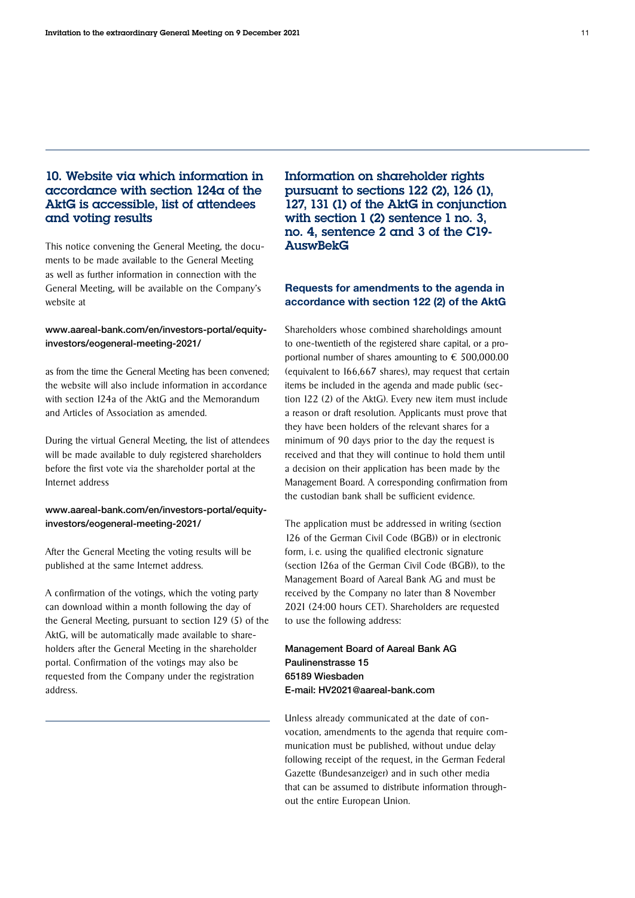#### 10. Website via which information in accordance with section 124a of the AktG is accessible, list of attendees and voting results

This notice convening the General Meeting, the documents to be made available to the General Meeting as well as further information in connection with the General Meeting, will be available on the Company's website at

#### [www.aareal-bank.com/en/investors-portal/equity](https://www.aareal-bank.com/en/investors-portal/equity-investors/eogeneral-meeting-2021/)[investors/eogeneral-meeting-2021/](https://www.aareal-bank.com/en/investors-portal/equity-investors/eogeneral-meeting-2021/)

as from the time the General Meeting has been convened; the website will also include information in accordance with section 124a of the AktG and the Memorandum and Articles of Association as amended.

During the virtual General Meeting, the list of attendees will be made available to duly registered shareholders before the first vote via the shareholder portal at the Internet address

#### [www.aareal-bank.com/en/investors-portal/equity](https://www.aareal-bank.com/en/investors-portal/equity-investors/eogeneral-meeting-2021/)[investors/eogeneral-meeting-2021/](https://www.aareal-bank.com/en/investors-portal/equity-investors/eogeneral-meeting-2021/)

After the General Meeting the voting results will be published at the same Internet address.

A confirmation of the votings, which the voting party can download within a month following the day of the General Meeting, pursuant to section 129 (5) of the AktG, will be automatically made available to shareholders after the General Meeting in the shareholder portal. Confirmation of the votings may also be requested from the Company under the registration address.

Information on shareholder rights pursuant to sections 122 (2), 126 (1), 127, 131 (1) of the AktG in conjunction with section 1 (2) sentence 1 no. 3. no. 4, sentence 2 and 3 of the C19- AuswBekG

#### Requests for amendments to the agenda in accordance with section 122 (2) of the AktG

Shareholders whose combined shareholdings amount to one-twentieth of the registered share capital, or a proportional number of shares amounting to  $\epsilon$  500,000.00 (equivalent to 166,667 shares), may request that certain items be included in the agenda and made public (section 122 (2) of the AktG). Every new item must include a reason or draft resolution. Applicants must prove that they have been holders of the relevant shares for a minimum of 90 days prior to the day the request is received and that they will continue to hold them until a decision on their application has been made by the Management Board. A corresponding confirmation from the custodian bank shall be sufficient evidence.

The application must be addressed in writing (section 126 of the German Civil Code (BGB)) or in electronic form, i. e. using the qualified electronic signature (section 126a of the German Civil Code (BGB)), to the Management Board of Aareal Bank AG and must be received by the Company no later than 8 November 2021 (24:00 hours CET). Shareholders are requested to use the following address:

Management Board of Aareal Bank AG Paulinenstrasse 15 65189 Wiesbaden E-mail: HV2021@aareal-bank.com

Unless already communicated at the date of convocation, amendments to the agenda that require communication must be published, without undue delay following receipt of the request, in the German Federal Gazette (Bundesanzeiger) and in such other media that can be assumed to distribute information throughout the entire European Union.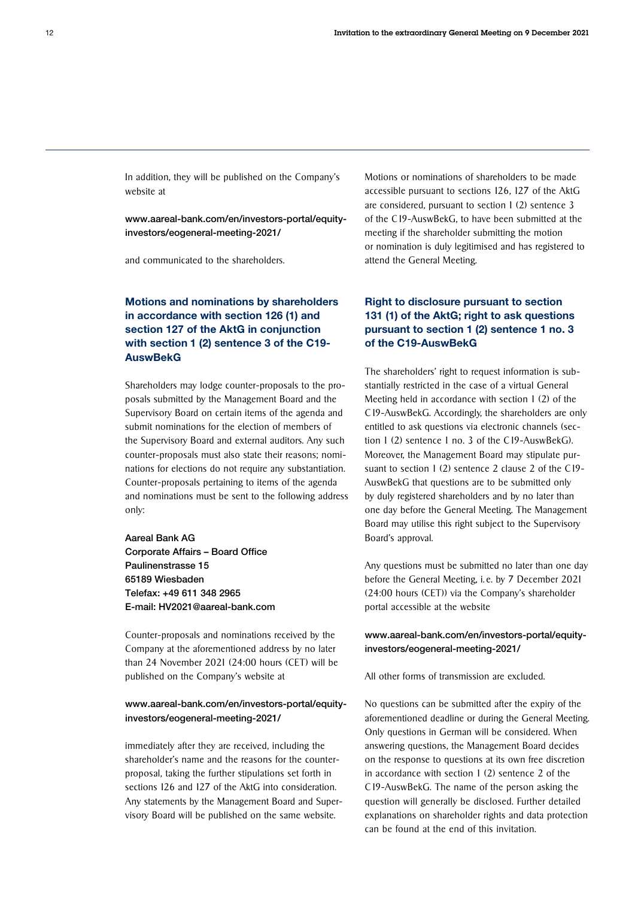In addition, they will be published on the Company's website at

[www.aareal-bank.com/en/investors-portal/equity](https://www.aareal-bank.com/en/investors-portal/equity-investors/eogeneral-meeting-2021/)[investors/eogeneral-meeting-2021/](https://www.aareal-bank.com/en/investors-portal/equity-investors/eogeneral-meeting-2021/)

and communicated to the shareholders.

#### Motions and nominations by shareholders in accordance with section 126 (1) and section 127 of the AktG in conjunction with section 1 (2) sentence 3 of the C19- **AuswBekG**

Shareholders may lodge counter-proposals to the proposals submitted by the Management Board and the Supervisory Board on certain items of the agenda and submit nominations for the election of members of the Supervisory Board and external auditors. Any such counter-proposals must also state their reasons; nominations for elections do not require any substantiation. Counter-proposals pertaining to items of the agenda and nominations must be sent to the following address only:

Aareal Bank AG Corporate Affairs – Board Office Paulinenstrasse 15 65189 Wiesbaden Telefax: +49 611 348 2965 E-mail: HV2021@aareal-bank.com

Counter-proposals and nominations received by the Company at the aforementioned address by no later than 24 November 2021 (24:00 hours (CET) will be published on the Company's website at

#### [www.aareal-bank.com/en/investors-portal/equity](https://www.aareal-bank.com/en/investors-portal/equity-investors/eogeneral-meeting-2021/)[investors/eogeneral-meeting-2021/](https://www.aareal-bank.com/en/investors-portal/equity-investors/eogeneral-meeting-2021/)

immediately after they are received, including the shareholder's name and the reasons for the counterproposal, taking the further stipulations set forth in sections 126 and 127 of the AktG into consideration. Any statements by the Management Board and Supervisory Board will be published on the same website.

Motions or nominations of shareholders to be made accessible pursuant to sections 126, 127 of the AktG are considered, pursuant to section 1 (2) sentence 3 of the C19-AuswBekG, to have been submitted at the meeting if the shareholder submitting the motion or nomination is duly legitimised and has registered to attend the General Meeting.

#### Right to disclosure pursuant to section 131 (1) of the AktG; right to ask questions pursuant to section 1 (2) sentence 1 no. 3 of the C19-AuswBekG

The shareholders' right to request information is substantially restricted in the case of a virtual General Meeting held in accordance with section 1 (2) of the C19-AuswBekG. Accordingly, the shareholders are only entitled to ask questions via electronic channels (section 1 (2) sentence 1 no. 3 of the C19-AuswBekG). Moreover, the Management Board may stipulate pursuant to section 1 (2) sentence 2 clause 2 of the C19- AuswBekG that questions are to be submitted only by duly registered shareholders and by no later than one day before the General Meeting. The Management Board may utilise this right subject to the Supervisory Board's approval.

Any questions must be submitted no later than one day before the General Meeting, i. e. by 7 December 2021 (24:00 hours (CET)) via the Company's shareholder portal accessible at the website

#### [www.aareal-bank.com/en/investors-portal/equity](https://www.aareal-bank.com/en/investors-portal/equity-investors/eogeneral-meeting-2021/)[investors/eogeneral-meeting-2021/](https://www.aareal-bank.com/en/investors-portal/equity-investors/eogeneral-meeting-2021/)

All other forms of transmission are excluded.

No questions can be submitted after the expiry of the aforementioned deadline or during the General Meeting. Only questions in German will be considered. When answering questions, the Management Board decides on the response to questions at its own free discretion in accordance with section 1 (2) sentence 2 of the C19-AuswBekG. The name of the person asking the question will generally be disclosed. Further detailed explanations on shareholder rights and data protection can be found at the end of this invitation.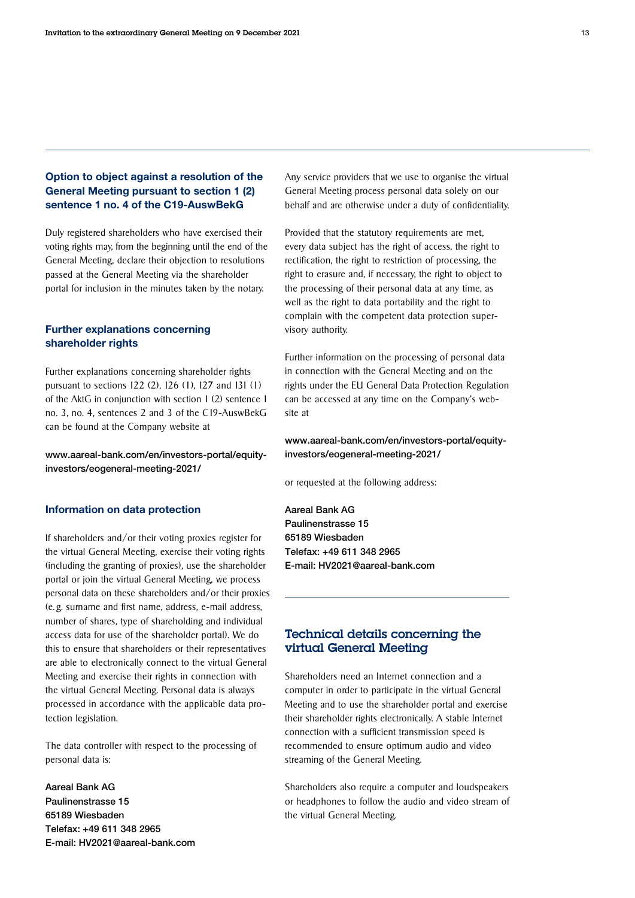#### Option to object against a resolution of the General Meeting pursuant to section 1 (2) sentence 1 no. 4 of the C19-AuswBekG

Duly registered shareholders who have exercised their voting rights may, from the beginning until the end of the General Meeting, declare their objection to resolutions passed at the General Meeting via the shareholder portal for inclusion in the minutes taken by the notary.

#### Further explanations concerning shareholder rights

Further explanations concerning shareholder rights pursuant to sections 122 (2), 126 (1), 127 and 131 (1) of the AktG in conjunction with section 1 (2) sentence 1 no. 3, no. 4, sentences 2 and 3 of the C19-AuswBekG can be found at the Company website at

[www.aareal-bank.com/en/investors-portal/equity](https://www.aareal-bank.com/en/investors-portal/equity-investors/eogeneral-meeting-2021/)[investors/eogeneral-meeting-2021/](https://www.aareal-bank.com/en/investors-portal/equity-investors/eogeneral-meeting-2021/)

#### Information on data protection

If shareholders and/or their voting proxies register for the virtual General Meeting, exercise their voting rights (including the granting of proxies), use the shareholder portal or join the virtual General Meeting, we process personal data on these shareholders and/or their proxies (e. g. surname and first name, address, e-mail address, number of shares, type of shareholding and individual access data for use of the shareholder portal). We do this to ensure that shareholders or their representatives are able to electronically connect to the virtual General Meeting and exercise their rights in connection with the virtual General Meeting. Personal data is always processed in accordance with the applicable data protection legislation.

The data controller with respect to the processing of personal data is:

Aareal Bank AG Paulinenstrasse 15 65189 Wiesbaden Telefax: +49 611 348 2965 E-mail: HV2021@aareal-bank.com Any service providers that we use to organise the virtual General Meeting process personal data solely on our behalf and are otherwise under a duty of confidentiality.

Provided that the statutory requirements are met, every data subject has the right of access, the right to rectification, the right to restriction of processing, the right to erasure and, if necessary, the right to object to the processing of their personal data at any time, as well as the right to data portability and the right to complain with the competent data protection supervisory authority.

Further information on the processing of personal data in connection with the General Meeting and on the rights under the EU General Data Protection Regulation can be accessed at any time on the Company's website at

#### [www.aareal-bank.com/en/investors-portal/equity](https://www.aareal-bank.com/en/investors-portal/equity-investors/eogeneral-meeting-2021/)[investors/eogeneral-meeting-2021/](https://www.aareal-bank.com/en/investors-portal/equity-investors/eogeneral-meeting-2021/)

or requested at the following address:

Aareal Bank AG Paulinenstrasse 15 65189 Wiesbaden Telefax: +49 611 348 2965 E-mail: HV2021@aareal-bank.com

#### Technical details concerning the virtual General Meeting

Shareholders need an Internet connection and a computer in order to participate in the virtual General Meeting and to use the shareholder portal and exercise their shareholder rights electronically. A stable Internet connection with a sufficient transmission speed is recommended to ensure optimum audio and video streaming of the General Meeting.

Shareholders also require a computer and loudspeakers or headphones to follow the audio and video stream of the virtual General Meeting.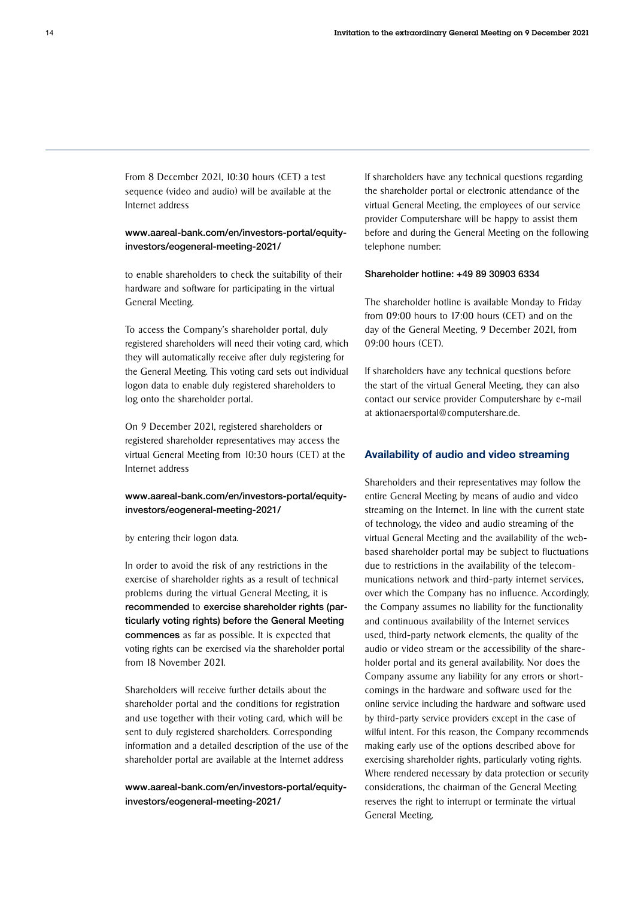From 8 December 2021, 10:30 hours (CET) a test sequence (video and audio) will be available at the Internet address

#### [www.aareal-bank.com/en/investors-portal/equity](https://www.aareal-bank.com/en/investors-portal/equity-investors/eogeneral-meeting-2021/)[investors/eogeneral-meeting-2021/](https://www.aareal-bank.com/en/investors-portal/equity-investors/eogeneral-meeting-2021/)

to enable shareholders to check the suitability of their hardware and software for participating in the virtual General Meeting.

To access the Company's shareholder portal, duly registered shareholders will need their voting card, which they will automatically receive after duly registering for the General Meeting. This voting card sets out individual logon data to enable duly registered shareholders to log onto the shareholder portal.

On 9 December 2021, registered shareholders or registered shareholder representatives may access the virtual General Meeting from 10:30 hours (CET) at the Internet address

#### [www.aareal-bank.com/en/investors-portal/equity](https://www.aareal-bank.com/en/investors-portal/equity-investors/eogeneral-meeting-2021/)[investors/eogeneral-meeting-2021/](https://www.aareal-bank.com/en/investors-portal/equity-investors/eogeneral-meeting-2021/)

by entering their logon data.

In order to avoid the risk of any restrictions in the exercise of shareholder rights as a result of technical problems during the virtual General Meeting, it is recommended to exercise shareholder rights (particularly voting rights) before the General Meeting commences as far as possible. It is expected that voting rights can be exercised via the shareholder portal from 18 November 2021.

Shareholders will receive further details about the shareholder portal and the conditions for registration and use together with their voting card, which will be sent to duly registered shareholders. Corresponding information and a detailed description of the use of the shareholder portal are available at the Internet address

[www.aareal-bank.com/en/investors-portal/equity](https://www.aareal-bank.com/en/investors-portal/equity-investors/eogeneral-meeting-2021/)[investors/eogeneral-meeting-2021/](https://www.aareal-bank.com/en/investors-portal/equity-investors/eogeneral-meeting-2021/)

If shareholders have any technical questions regarding the shareholder portal or electronic attendance of the virtual General Meeting, the employees of our service provider Computershare will be happy to assist them before and during the General Meeting on the following telephone number:

#### Shareholder hotline: +49 89 30903 6334

The shareholder hotline is available Monday to Friday from 09:00 hours to 17:00 hours (CET) and on the day of the General Meeting, 9 December 2021, from 09:00 hours (CET).

If shareholders have any technical questions before the start of the virtual General Meeting, they can also contact our service provider Computershare by e-mail at aktionaersportal@computershare.de.

#### Availability of audio and video streaming

Shareholders and their representatives may follow the entire General Meeting by means of audio and video streaming on the Internet. In line with the current state of technology, the video and audio streaming of the virtual General Meeting and the availability of the webbased shareholder portal may be subject to fluctuations due to restrictions in the availability of the telecommunications network and third-party internet services, over which the Company has no influence. Accordingly, the Company assumes no liability for the functionality and continuous availability of the Internet services used, third-party network elements, the quality of the audio or video stream or the accessibility of the shareholder portal and its general availability. Nor does the Company assume any liability for any errors or shortcomings in the hardware and software used for the online service including the hardware and software used by third-party service providers except in the case of wilful intent. For this reason, the Company recommends making early use of the options described above for exercising shareholder rights, particularly voting rights. Where rendered necessary by data protection or security considerations, the chairman of the General Meeting reserves the right to interrupt or terminate the virtual General Meeting.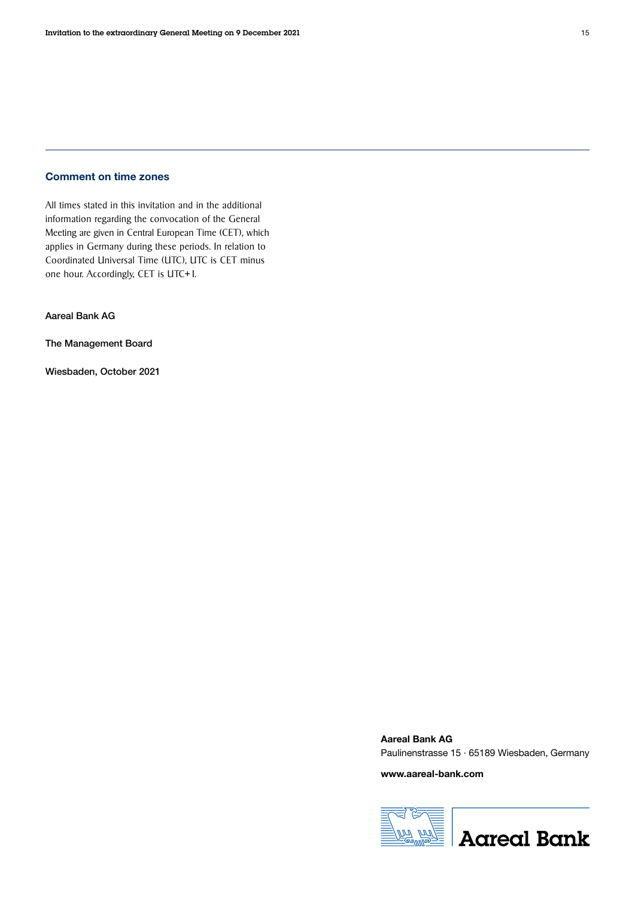#### Comment on time zones

All times stated in this invitation and in the additional information regarding the convocation of the General Meeting are given in Central European Time (CET), which applies in Germany during these periods. In relation to Coordinated Universal Time (UTC), UTC is CET minus one hour. Accordingly, CET is UTC+1.

Aareal Bank AG

The Management Board

Wiesbaden, October 2021

Aareal Bank AG Paulinenstrasse 15 · 65189 Wiesbaden, Germany

www.aareal-bank.com